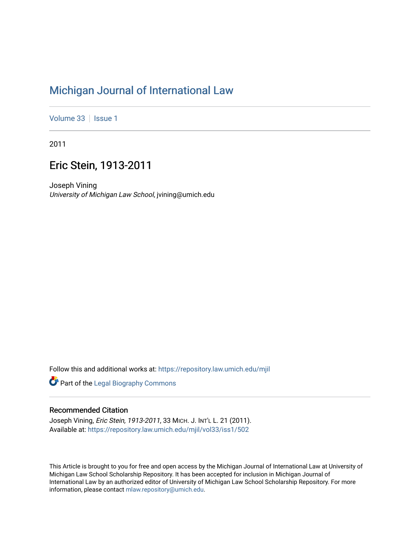# [Michigan Journal of International Law](https://repository.law.umich.edu/mjil)

[Volume 33](https://repository.law.umich.edu/mjil/vol33) | [Issue 1](https://repository.law.umich.edu/mjil/vol33/iss1)

2011

## Eric Stein, 1913-2011

Joseph Vining University of Michigan Law School, jvining@umich.edu

Follow this and additional works at: [https://repository.law.umich.edu/mjil](https://repository.law.umich.edu/mjil?utm_source=repository.law.umich.edu%2Fmjil%2Fvol33%2Fiss1%2F502&utm_medium=PDF&utm_campaign=PDFCoverPages) 

**Part of the Legal Biography Commons** 

#### Recommended Citation

Joseph Vining, Eric Stein, 1913-2011, 33 MICH. J. INT'L L. 21 (2011). Available at: [https://repository.law.umich.edu/mjil/vol33/iss1/502](https://repository.law.umich.edu/mjil/vol33/iss1/502?utm_source=repository.law.umich.edu%2Fmjil%2Fvol33%2Fiss1%2F502&utm_medium=PDF&utm_campaign=PDFCoverPages) 

This Article is brought to you for free and open access by the Michigan Journal of International Law at University of Michigan Law School Scholarship Repository. It has been accepted for inclusion in Michigan Journal of International Law by an authorized editor of University of Michigan Law School Scholarship Repository. For more information, please contact [mlaw.repository@umich.edu](mailto:mlaw.repository@umich.edu).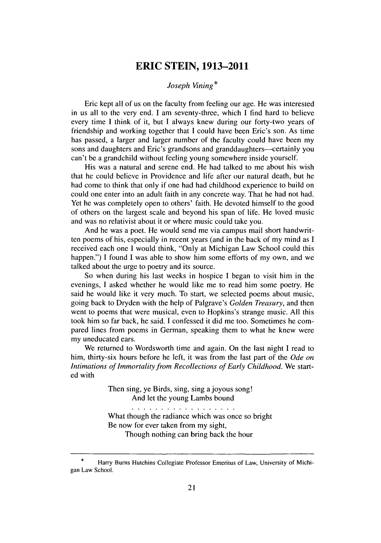### **ERIC STEIN, 1913-2011**

#### *Joseph Vining\**

Eric kept all of us on the faculty from feeling our age. He was interested in us all to the very end. **I** am seventy-three, which **I** find hard to believe every time **I** think of it, but **I** always knew during our forty-two years of friendship and working together that **I** could have been Eric's son. As time has passed, a larger and larger number of the faculty could have been my sons and daughters and Eric's grandsons and granddaughters—certainly you can't be a grandchild without feeling young somewhere inside yourself.

His was a natural and serene end. He had talked to me about his wish that he could believe in Providence and life after our natural death, but he had come to think that only if one had had childhood experience to build on could one enter into an adult faith in any concrete way. That he had not had. Yet he was completely open to others' faith. He devoted himself to the good of others on the largest scale and beyond his span of life. He loved music and was no relativist about it or where music could take you.

And he was a poet. He would send me via campus mail short handwritten poems of his, especially in recent years (and in the back of my mind as I received each one I would think, "Only at Michigan Law School could this happen.") I found I was able to show him some efforts of my own, and we talked about the urge to poetry and its source.

So when during his last weeks in hospice I began to visit him in the evenings, I asked whether he would like me to read him some poetry. He said he would like it very much. To start, we selected poems about music, going back to Dryden with the help of Palgrave's *Golden Treasury,* and then went to poems that were musical, even to Hopkins's strange music. All this took him so far back, he said. I confessed it did me too. Sometimes he compared lines from poems in German, speaking them to what he knew were my uneducated ears.

We returned to Wordsworth time and again. On the last night I read to him, thirty-six hours before he left, it was from the last part of the *Ode on Intimations of Immortality from Recollections of Early Childhood.* We started with

> Then sing, ye Birds, sing, sing a joyous song! And let the young Lambs bound

> > . . . . . . . . . . . . . . . . . .

What though the radiance which was once so bright Be now for ever taken from my sight,

Though nothing can bring back the hour

Harry Burns Hutchins Collegiate Professor Emeritus of Law, University of Michigan Law School.